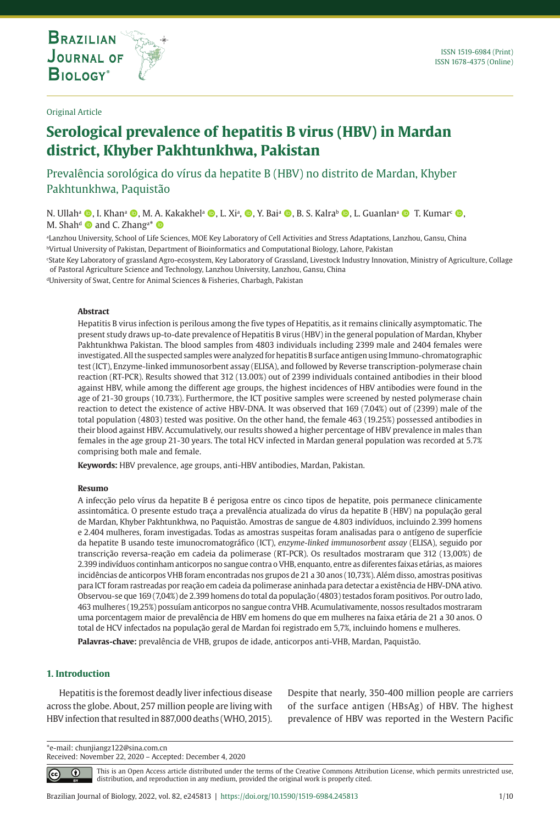**THE INTERNATIONAL JOURNAL ON GLOBAL BIODIVERSITY AND ENVIRONMENT**

## Original Article

# **Serological prevalence of hepatitis B virus (HBV) in Mardan district, Khyber Pakhtunkhwa, Pakistan**

Prevalência sorológica do vírus da hepatite B (HBV) no distrito de Mardan, Khyber Pakhtunkhwa, Paquistão

N. Ullahª ©, I. Khanª ©, M. A. Kakakhelª ©, L. Xiª, ©, Y. Baiª ©, B. S. Kalraʰ ©, L. Guanlanª © T. Kumar<sup>c</sup> ©, M. Shah<sup>d</sup>  $\bullet$  and C. Zhang<sup>a\*</sup>  $\bullet$ 

a Lanzhou University, School of Life Sciences, MOE Key Laboratory of Cell Activities and Stress Adaptations, Lanzhou, Gansu, China bVirtual University of Pakistan, Department of Bioinformatics and Computational Biology, Lahore, Pakistan

c State Key Laboratory of grassland Agro-ecosystem, Key Laboratory of Grassland, Livestock Industry Innovation, Ministry of Agriculture, Collage of Pastoral Agriculture Science and Technology, Lanzhou University, Lanzhou, Gansu, China

dUniversity of Swat, Centre for Animal Sciences & Fisheries, Charbagh, Pakistan

#### **Abstract**

Hepatitis B virus infection is perilous among the five types of Hepatitis, as it remains clinically asymptomatic. The present study draws up-to-date prevalence of Hepatitis B virus (HBV) in the general population of Mardan, Khyber Pakhtunkhwa Pakistan. The blood samples from 4803 individuals including 2399 male and 2404 females were investigated. All the suspected samples were analyzed for hepatitis B surface antigen using Immuno-chromatographic test (ICT), Enzyme-linked immunosorbent assay (ELISA), and followed by Reverse transcription-polymerase chain reaction (RT-PCR). Results showed that 312 (13.00%) out of 2399 individuals contained antibodies in their blood against HBV, while among the different age groups, the highest incidences of HBV antibodies were found in the age of 21-30 groups (10.73%). Furthermore, the ICT positive samples were screened by nested polymerase chain reaction to detect the existence of active HBV-DNA. It was observed that 169 (7.04%) out of (2399) male of the total population (4803) tested was positive. On the other hand, the female 463 (19.25%) possessed antibodies in their blood against HBV. Accumulatively, our results showed a higher percentage of HBV prevalence in males than females in the age group 21-30 years. The total HCV infected in Mardan general population was recorded at 5.7% comprising both male and female.

**Keywords:** HBV prevalence, age groups, anti-HBV antibodies, Mardan, Pakistan.

#### **Resumo**

A infecção pelo vírus da hepatite B é perigosa entre os cinco tipos de hepatite, pois permanece clinicamente assintomática. O presente estudo traça a prevalência atualizada do vírus da hepatite B (HBV) na população geral de Mardan, Khyber Pakhtunkhwa, no Paquistão. Amostras de sangue de 4.803 indivíduos, incluindo 2.399 homens e 2.404 mulheres, foram investigadas. Todas as amostras suspeitas foram analisadas para o antígeno de superfície da hepatite B usando teste imunocromatográfico (ICT), *enzyme-linked immunosorbent assay* (ELISA), seguido por transcrição reversa-reação em cadeia da polimerase (RT-PCR). Os resultados mostraram que 312 (13,00%) de 2.399 indivíduos continham anticorpos no sangue contra o VHB, enquanto, entre as diferentes faixas etárias, as maiores incidências de anticorpos VHB foram encontradas nos grupos de 21 a 30 anos (10,73%). Além disso, amostras positivas para ICT foram rastreadas por reação em cadeia da polimerase aninhada para detectar a existência de HBV-DNA ativo. Observou-se que 169 (7,04%) de 2.399 homens do total da população (4803) testados foram positivos. Por outro lado, 463 mulheres (19,25%) possuíam anticorpos no sangue contra VHB. Acumulativamente, nossos resultados mostraram uma porcentagem maior de prevalência de HBV em homens do que em mulheres na faixa etária de 21 a 30 anos. O total de HCV infectados na população geral de Mardan foi registrado em 5,7%, incluindo homens e mulheres.

**Palavras-chave:** prevalência de VHB, grupos de idade, anticorpos anti-VHB, Mardan, Paquistão.

## **1. Introduction**

⋒

 $|cc|$ 

Hepatitis is the foremost deadly liver infectious disease across the globe. About, 257 million people are living with HBV infection that resulted in 887,000 deaths (WHO, 2015). Despite that nearly, 350-400 million people are carriers of the surface antigen (HBsAg) of HBV. The highest prevalence of HBV was reported in the Western Pacific

\*e-mail: chunjiangz122@sina.com.cn Received: November 22, 2020 – Accepted: December 4, 2020

> This is an Open Access article distributed under the terms of the Creative Commons Attribution License, which permits unrestricted use, distribution, and reproduction in any medium, provided the original work is properly cited.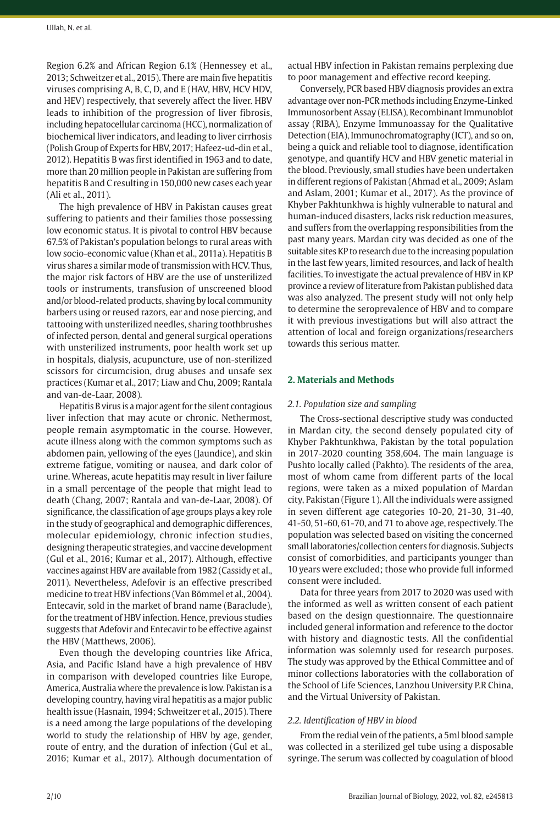Region 6.2% and African Region 6.1% (Hennessey et al., 2013; Schweitzer et al., 2015). There are main five hepatitis viruses comprising A, B, C, D, and E (HAV, HBV, HCV HDV, and HEV) respectively, that severely affect the liver. HBV leads to inhibition of the progression of liver fibrosis, including hepatocellular carcinoma (HCC), normalization of biochemical liver indicators, and leading to liver cirrhosis (Polish Group of Experts for HBV, 2017; Hafeez-ud-din et al., 2012). Hepatitis B was first identified in 1963 and to date, more than 20 million people in Pakistan are suffering from hepatitis B and C resulting in 150,000 new cases each year (Ali et al., 2011).

The high prevalence of HBV in Pakistan causes great suffering to patients and their families those possessing low economic status. It is pivotal to control HBV because 67.5% of Pakistan's population belongs to rural areas with low socio-economic value (Khan et al., 2011a). Hepatitis B virus shares a similar mode of transmission with HCV. Thus, the major risk factors of HBV are the use of unsterilized tools or instruments, transfusion of unscreened blood and/or blood-related products, shaving by local community barbers using or reused razors, ear and nose piercing, and tattooing with unsterilized needles, sharing toothbrushes of infected person, dental and general surgical operations with unsterilized instruments, poor health work set up in hospitals, dialysis, acupuncture, use of non-sterilized scissors for circumcision, drug abuses and unsafe sex practices (Kumar et al., 2017; Liaw and Chu, 2009; Rantala and van-de-Laar, 2008).

Hepatitis B virus is a major agent for the silent contagious liver infection that may acute or chronic. Nethermost, people remain asymptomatic in the course. However, acute illness along with the common symptoms such as abdomen pain, yellowing of the eyes (Jaundice), and skin extreme fatigue, vomiting or nausea, and dark color of urine. Whereas, acute hepatitis may result in liver failure in a small percentage of the people that might lead to death (Chang, 2007; Rantala and van-de-Laar, 2008). Of significance, the classification of age groups plays a key role in the study of geographical and demographic differences, molecular epidemiology, chronic infection studies, designing therapeutic strategies, and vaccine development (Gul et al., 2016; Kumar et al., 2017). Although, effective vaccines against HBV are available from 1982 (Cassidy et al., 2011). Nevertheless, Adefovir is an effective prescribed medicine to treat HBV infections (Van Bömmel et al., 2004). Entecavir, sold in the market of brand name (Baraclude), for the treatment of HBV infection. Hence, previous studies suggests that Adefovir and Entecavir to be effective against the HBV (Matthews, 2006).

Even though the developing countries like Africa, Asia, and Pacific Island have a high prevalence of HBV in comparison with developed countries like Europe, America, Australia where the prevalence is low. Pakistan is a developing country, having viral hepatitis as a major public health issue (Hasnain, 1994; Schweitzer et al., 2015). There is a need among the large populations of the developing world to study the relationship of HBV by age, gender, route of entry, and the duration of infection (Gul et al., 2016; Kumar et al., 2017). Although documentation of actual HBV infection in Pakistan remains perplexing due to poor management and effective record keeping.

Conversely, PCR based HBV diagnosis provides an extra advantage over non-PCR methods including Enzyme-Linked Immunosorbent Assay (ELISA), Recombinant Immunoblot assay (RIBA), Enzyme Immunoassay for the Qualitative Detection (EIA), Immunochromatography (ICT), and so on, being a quick and reliable tool to diagnose, identification genotype, and quantify HCV and HBV genetic material in the blood. Previously, small studies have been undertaken in different regions of Pakistan (Ahmad et al., 2009; Aslam and Aslam, 2001; Kumar et al., 2017). As the province of Khyber Pakhtunkhwa is highly vulnerable to natural and human-induced disasters, lacks risk reduction measures, and suffers from the overlapping responsibilities from the past many years. Mardan city was decided as one of the suitable sites KP to research due to the increasing population in the last few years, limited resources, and lack of health facilities. To investigate the actual prevalence of HBV in KP province a review of literature from Pakistan published data was also analyzed. The present study will not only help to determine the seroprevalence of HBV and to compare it with previous investigations but will also attract the attention of local and foreign organizations/researchers towards this serious matter.

# **2. Materials and Methods**

## *2.1. Population size and sampling*

The Cross-sectional descriptive study was conducted in Mardan city, the second densely populated city of Khyber Pakhtunkhwa, Pakistan by the total population in 2017-2020 counting 358,604. The main language is Pushto locally called (Pakhto). The residents of the area, most of whom came from different parts of the local regions, were taken as a mixed population of Mardan city, Pakistan (Figure 1). All the individuals were assigned in seven different age categories 10-20, 21-30, 31-40, 41-50, 51-60, 61-70, and 71 to above age, respectively. The population was selected based on visiting the concerned small laboratories/collection centers for diagnosis. Subjects consist of comorbidities, and participants younger than 10 years were excluded; those who provide full informed consent were included.

Data for three years from 2017 to 2020 was used with the informed as well as written consent of each patient based on the design questionnaire. The questionnaire included general information and reference to the doctor with history and diagnostic tests. All the confidential information was solemnly used for research purposes. The study was approved by the Ethical Committee and of minor collections laboratories with the collaboration of the School of Life Sciences, Lanzhou University P.R China, and the Virtual University of Pakistan.

# *2.2. Identification of HBV in blood*

From the redial vein of the patients, a 5ml blood sample was collected in a sterilized gel tube using a disposable syringe. The serum was collected by coagulation of blood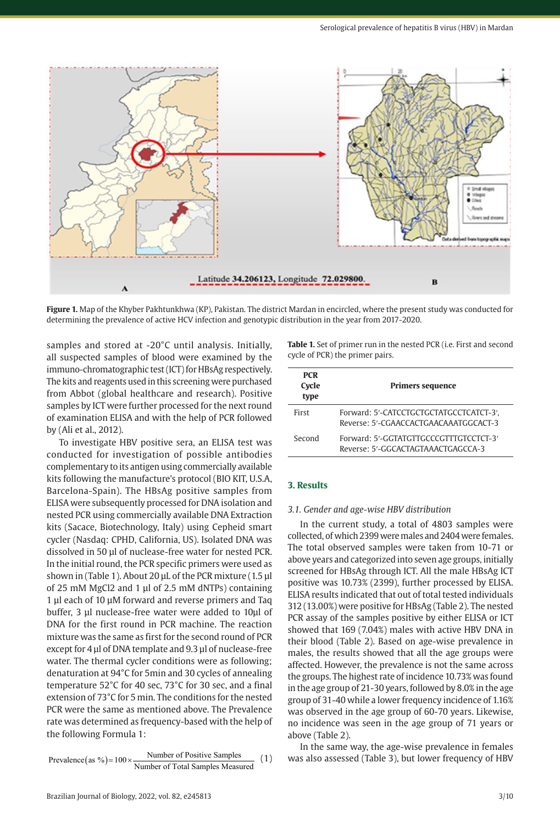

**Figure 1.** Map of the Khyber Pakhtunkhwa (KP), Pakistan. The district Mardan in encircled, where the present study was conducted for determining the prevalence of active HCV infection and genotypic distribution in the year from 2017-2020.

samples and stored at -20°C until analysis. Initially, all suspected samples of blood were examined by the immuno-chromatographic test (ICT) for HBsAg respectively. The kits and reagents used in this screening were purchased from Abbot (global healthcare and research). Positive samples by ICT were further processed for the next round of examination ELISA and with the help of PCR followed by (Ali et al., 2012).

To investigate HBV positive sera, an ELISA test was conducted for investigation of possible antibodies complementary to its antigen using commercially available kits following the manufacture's protocol (BIO KIT, U.S.A, Barcelona-Spain). The HBsAg positive samples from ELISA were subsequently processed for DNA isolation and nested PCR using commercially available DNA Extraction kits (Sacace, Biotechnology, Italy) using Cepheid smart cycler (Nasdaq: CPHD, California, US). Isolated DNA was dissolved in 50 µl of nuclease-free water for nested PCR. In the initial round, the PCR specific primers were used as shown in (Table 1). About 20 µL of the PCR mixture (1.5 µl of 25 mM MgCl2 and 1 µl of 2.5 mM dNTPs) containing 1 µl each of 10 µM forward and reverse primers and Taq buffer, 3 µl nuclease-free water were added to 10µl of DNA for the first round in PCR machine. The reaction mixture was the same as first for the second round of PCR except for 4 µl of DNA template and 9.3 µl of nuclease-free water. The thermal cycler conditions were as following; denaturation at 94°C for 5min and 30 cycles of annealing temperature 52°C for 40 sec, 73°C for 30 sec, and a final extension of 73°C for 5 min. The conditions for the nested PCR were the same as mentioned above. The Prevalence rate was determined as frequency-based with the help of the following Formula 1:

Prevalence (as %) =  $100 \times \frac{\text{Number of Positive Samples}}{\text{Number of Total Samples Measured}}$  (1)

Brazilian Journal of Biology, 2022, vol. 82, e245813 3/10

**Table 1.** Set of primer run in the nested PCR (i.e. First and second cycle of PCR) the primer pairs.

| <b>PCR</b><br>Cycle<br>type | <b>Primers sequence</b>                                                          |
|-----------------------------|----------------------------------------------------------------------------------|
| First                       | Forward: 5'-CATCCTGCTGCTATGCCTCATCT-3',<br>Reverse: 5'-CGAACCACTGAACAAATGGCACT-3 |
| Second                      | Forward: 5'-GGTATGTTGCCCGTTTGTCCTCT-3'<br>Reverse: 5'-GGCACTAGTAAACTGAGCCA-3     |

## **3. Results**

#### *3.1. Gender and age-wise HBV distribution*

In the current study, a total of 4803 samples were collected, of which 2399 were males and 2404 were females. The total observed samples were taken from 10-71 or above years and categorized into seven age groups, initially screened for HBsAg through ICT. All the male HBsAg ICT positive was 10.73% (2399), further processed by ELISA. ELISA results indicated that out of total tested individuals 312 (13.00%) were positive for HBsAg (Table 2). The nested PCR assay of the samples positive by either ELISA or ICT showed that 169 (7.04%) males with active HBV DNA in their blood (Table 2). Based on age-wise prevalence in males, the results showed that all the age groups were affected. However, the prevalence is not the same across the groups. The highest rate of incidence 10.73% was found in the age group of 21-30 years, followed by 8.0% in the age group of 31-40 while a lower frequency incidence of 1.16% was observed in the age group of 60-70 years. Likewise, no incidence was seen in the age group of 71 years or above (Table 2).

In the same way, the age-wise prevalence in females was also assessed (Table 3), but lower frequency of HBV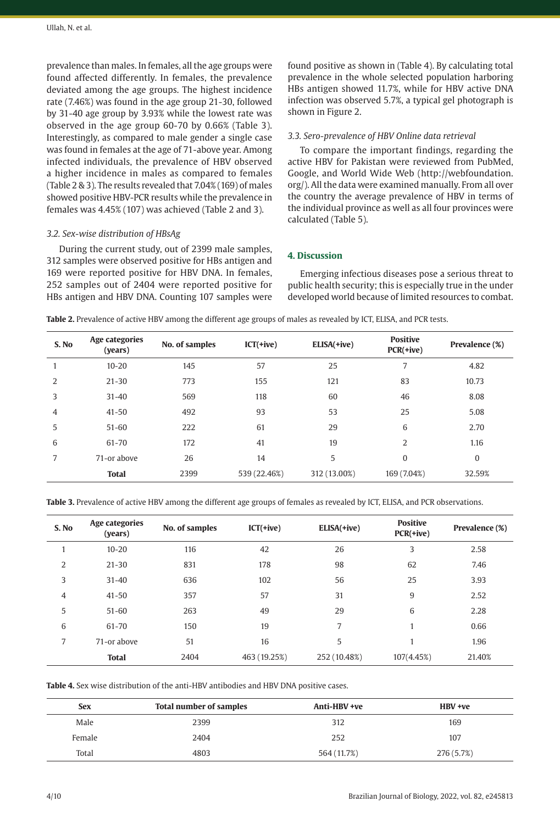prevalence than males. In females, all the age groups were found affected differently. In females, the prevalence deviated among the age groups. The highest incidence rate (7.46%) was found in the age group 21-30, followed by 31-40 age group by 3.93% while the lowest rate was observed in the age group 60-70 by 0.66% (Table 3). Interestingly, as compared to male gender a single case was found in females at the age of 71-above year. Among infected individuals, the prevalence of HBV observed a higher incidence in males as compared to females (Table 2 & 3). The results revealed that 7.04% (169) of males showed positive HBV-PCR results while the prevalence in females was 4.45% (107) was achieved (Table 2 and 3).

# *3.2. Sex-wise distribution of HBsAg*

During the current study, out of 2399 male samples, 312 samples were observed positive for HBs antigen and 169 were reported positive for HBV DNA. In females, 252 samples out of 2404 were reported positive for HBs antigen and HBV DNA. Counting 107 samples were found positive as shown in (Table 4). By calculating total prevalence in the whole selected population harboring HBs antigen showed 11.7%, while for HBV active DNA infection was observed 5.7%, a typical gel photograph is shown in Figure 2.

#### *3.3. Sero-prevalence of HBV Online data retrieval*

To compare the important findings, regarding the active HBV for Pakistan were reviewed from PubMed, Google, and World Wide Web (http://webfoundation. org/). All the data were examined manually. From all over the country the average prevalence of HBV in terms of the individual province as well as all four provinces were calculated (Table 5).

# **4. Discussion**

Emerging infectious diseases pose a serious threat to public health security; this is especially true in the under developed world because of limited resources to combat.

**Table 2.** Prevalence of active HBV among the different age groups of males as revealed by ICT, ELISA, and PCR tests.

| S. No | Age categories<br>(years) | No. of samples | $ICT(+ive)$  | ELISA(+ive)  | <b>Positive</b><br>$PCR(+ive)$ | Prevalence (%) |
|-------|---------------------------|----------------|--------------|--------------|--------------------------------|----------------|
|       | $10 - 20$                 | 145            | 57           | 25           | 7                              | 4.82           |
| 2     | $21 - 30$                 | 773            | 155          | 121          | 83                             | 10.73          |
| 3     | $31 - 40$                 | 569            | 118          | 60           | 46                             | 8.08           |
| 4     | $41 - 50$                 | 492            | 93           | 53           | 25                             | 5.08           |
| 5     | $51 - 60$                 | 222            | 61           | 29           | 6                              | 2.70           |
| 6     | $61 - 70$                 | 172            | 41           | 19           | 2                              | 1.16           |
| 7     | 71-or above               | 26             | 14           | 5            | $\mathbf{0}$                   | $\mathbf{0}$   |
|       | <b>Total</b>              | 2399           | 539 (22.46%) | 312 (13.00%) | 169 (7.04%)                    | 32.59%         |

**Table 3.** Prevalence of active HBV among the different age groups of females as revealed by ICT, ELISA, and PCR observations.

| S. No | Age categories<br>(years) | No. of samples | $ICT(+ive)$  | ELISA(+ive)  | <b>Positive</b><br>$PCR(+ive)$ | Prevalence (%) |
|-------|---------------------------|----------------|--------------|--------------|--------------------------------|----------------|
| 1     | $10 - 20$                 | 116            | 42           | 26           | 3                              | 2.58           |
| 2     | $21 - 30$                 | 831            | 178          | 98           | 62                             | 7.46           |
| 3     | $31 - 40$                 | 636            | 102          | 56           | 25                             | 3.93           |
| 4     | $41 - 50$                 | 357            | 57           | 31           | 9                              | 2.52           |
| 5     | $51 - 60$                 | 263            | 49           | 29           | 6                              | 2.28           |
| 6     | $61 - 70$                 | 150            | 19           | 7            |                                | 0.66           |
| 7     | 71-or above               | 51             | 16           | 5            |                                | 1.96           |
|       | <b>Total</b>              | 2404           | 463 (19.25%) | 252 (10.48%) | 107(4.45%)                     | 21.40%         |

**Table 4.** Sex wise distribution of the anti-HBV antibodies and HBV DNA positive cases.

| <b>Sex</b> | <b>Total number of samples</b> | Anti-HBV +ve | HBV +ve    |
|------------|--------------------------------|--------------|------------|
| Male       | 2399                           | 312          | 169        |
| Female     | 2404                           | 252          | 107        |
| Total      | 4803                           | 564 (11.7%)  | 276 (5.7%) |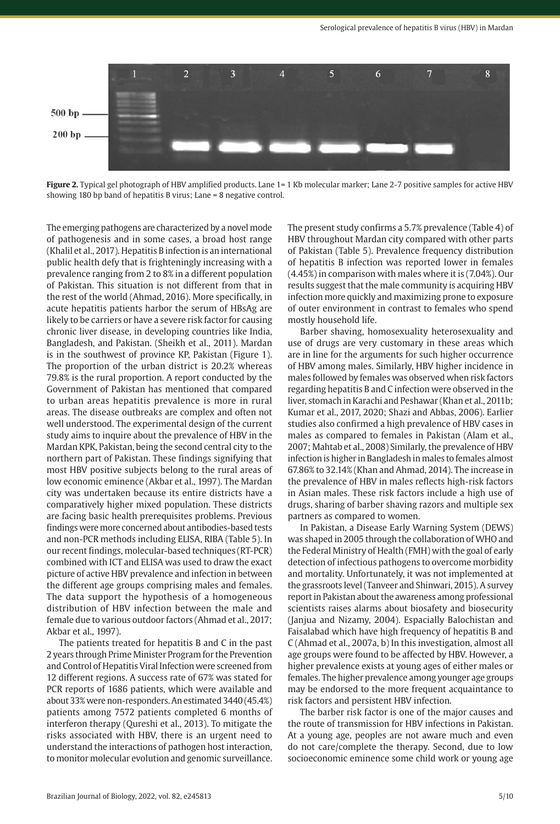

**Figure 2.** Typical gel photograph of HBV amplified products. Lane 1= 1 Kb molecular marker; Lane 2-7 positive samples for active HBV showing 180 bp band of hepatitis B virus; Lane = 8 negative control.

The emerging pathogens are characterized by a novel mode of pathogenesis and in some cases, a broad host range (Khalil et al., 2017). Hepatitis B infection is an international public health defy that is frighteningly increasing with a prevalence ranging from 2 to 8% in a different population of Pakistan. This situation is not different from that in the rest of the world (Ahmad, 2016). More specifically, in acute hepatitis patients harbor the serum of HBsAg are likely to be carriers or have a severe risk factor for causing chronic liver disease, in developing countries like India, Bangladesh, and Pakistan. (Sheikh et al., 2011). Mardan is in the southwest of province KP, Pakistan (Figure 1). The proportion of the urban district is 20.2% whereas 79.8% is the rural proportion. A report conducted by the Government of Pakistan has mentioned that compared to urban areas hepatitis prevalence is more in rural areas. The disease outbreaks are complex and often not well understood. The experimental design of the current study aims to inquire about the prevalence of HBV in the Mardan KPK, Pakistan, being the second central city to the northern part of Pakistan. These findings signifying that most HBV positive subjects belong to the rural areas of low economic eminence (Akbar et al., 1997). The Mardan city was undertaken because its entire districts have a comparatively higher mixed population. These districts are facing basic health prerequisites problems. Previous findings were more concerned about antibodies-based tests and non-PCR methods including ELISA, RIBA (Table 5). In our recent findings, molecular-based techniques (RT-PCR) combined with ICT and ELISA was used to draw the exact picture of active HBV prevalence and infection in between the different age groups comprising males and females. The data support the hypothesis of a homogeneous distribution of HBV infection between the male and female due to various outdoor factors (Ahmad et al., 2017; Akbar et al., 1997).

The patients treated for hepatitis B and C in the past 2 years through Prime Minister Program for the Prevention and Control of Hepatitis Viral Infection were screened from 12 different regions. A success rate of 67% was stated for PCR reports of 1686 patients, which were available and about 33% were non-responders. An estimated 3440 (45.4%) patients among 7572 patients completed 6 months of interferon therapy (Qureshi et al., 2013). To mitigate the risks associated with HBV, there is an urgent need to understand the interactions of pathogen host interaction, to monitor molecular evolution and genomic surveillance. The present study confirms a 5.7% prevalence (Table 4) of HBV throughout Mardan city compared with other parts of Pakistan (Table 5). Prevalence frequency distribution of hepatitis B infection was reported lower in females (4.45%) in comparison with males where it is (7.04%). Our results suggest that the male community is acquiring HBV infection more quickly and maximizing prone to exposure of outer environment in contrast to females who spend mostly household life.

Barber shaving, homosexuality heterosexuality and use of drugs are very customary in these areas which are in line for the arguments for such higher occurrence of HBV among males. Similarly, HBV higher incidence in males followed by females was observed when risk factors regarding hepatitis B and C infection were observed in the liver, stomach in Karachi and Peshawar (Khan et al., 2011b; Kumar et al., 2017, 2020; Shazi and Abbas, 2006). Earlier studies also confirmed a high prevalence of HBV cases in males as compared to females in Pakistan (Alam et al., 2007; Mahtab et al., 2008) Similarly, the prevalence of HBV infection is higher in Bangladesh in males to females almost 67.86% to 32.14% (Khan and Ahmad, 2014). The increase in the prevalence of HBV in males reflects high-risk factors in Asian males. These risk factors include a high use of drugs, sharing of barber shaving razors and multiple sex partners as compared to women.

In Pakistan, a Disease Early Warning System (DEWS) was shaped in 2005 through the collaboration of WHO and the Federal Ministry of Health (FMH) with the goal of early detection of infectious pathogens to overcome morbidity and mortality. Unfortunately, it was not implemented at the grassroots level (Tanveer and Shinwari, 2015). A survey report in Pakistan about the awareness among professional scientists raises alarms about biosafety and biosecurity (Janjua and Nizamy, 2004). Espacially Balochistan and Faisalabad which have high frequency of hepatitis B and C (Ahmad et al., 2007a, b) In this investigation, almost all age groups were found to be affected by HBV. However, a higher prevalence exists at young ages of either males or females. The higher prevalence among younger age groups may be endorsed to the more frequent acquaintance to risk factors and persistent HBV infection.

The barber risk factor is one of the major causes and the route of transmission for HBV infections in Pakistan. At a young age, peoples are not aware much and even do not care/complete the therapy. Second, due to low socioeconomic eminence some child work or young age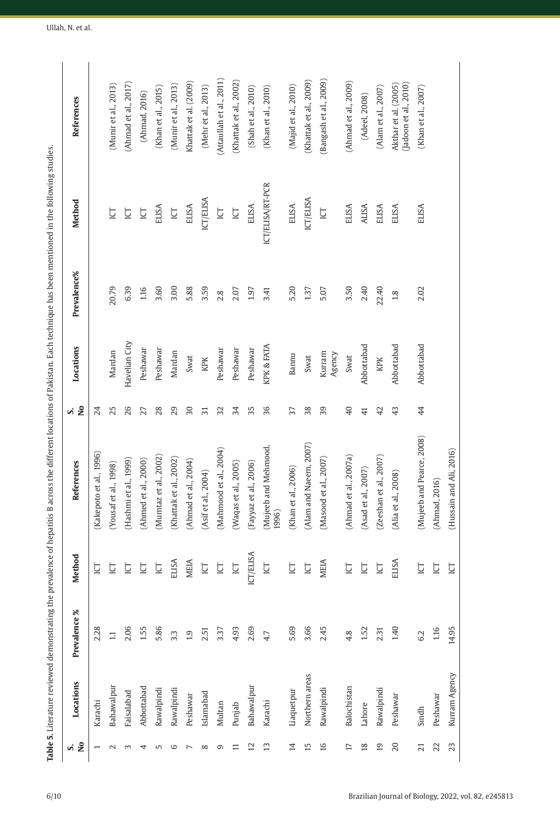|   | j                    |
|---|----------------------|
|   | ā                    |
|   | l                    |
|   | 3                    |
|   |                      |
|   | i                    |
|   | ֠<br>ׇׇ֠֞֡           |
|   |                      |
|   |                      |
|   |                      |
|   |                      |
| ì |                      |
|   | i                    |
|   | ١                    |
|   |                      |
|   |                      |
|   |                      |
|   |                      |
|   |                      |
|   | İ                    |
|   | ļ                    |
|   |                      |
|   |                      |
|   | ¢                    |
|   | ġ                    |
|   | í                    |
|   |                      |
|   |                      |
|   | ć<br>i               |
|   |                      |
|   |                      |
|   |                      |
|   |                      |
|   |                      |
|   |                      |
|   |                      |
|   | i                    |
|   | ś                    |
|   | j                    |
|   | ť                    |
|   | í                    |
|   |                      |
|   | j                    |
|   | I                    |
| ļ |                      |
|   |                      |
|   | ļ                    |
|   | $\ddot{\phantom{0}}$ |
|   | ī                    |
|   | í                    |
|   | í                    |
|   |                      |
| Ì | i                    |
|   | I                    |
|   |                      |
|   |                      |
|   | I<br>İ               |
|   |                      |
|   |                      |
|   |                      |
|   |                      |
|   |                      |
|   |                      |
|   |                      |
|   | ï                    |
|   | ۱                    |
|   | ۱                    |
| í |                      |
|   |                      |
|   |                      |
|   | l                    |
|   | ś                    |
|   | į                    |
|   |                      |
|   | ١                    |
|   |                      |
|   | Comp C               |
|   | I                    |
| l |                      |
|   |                      |
|   |                      |
|   |                      |
|   |                      |
|   |                      |
|   |                      |
|   | ì<br>j               |
|   |                      |
|   | Ï                    |
|   |                      |
|   |                      |
|   |                      |
|   | ۱                    |
|   |                      |
|   |                      |
|   | ċ                    |
|   |                      |
|   | I<br>l               |
|   |                      |
|   |                      |
|   |                      |
|   | ł<br>į<br>١          |
|   | ţ                    |
|   | j<br>Į               |
|   | i<br>ĵ<br>l          |
|   | i<br>፡               |
|   |                      |
|   | j                    |
|   |                      |
|   |                      |
|   |                      |
|   |                      |
|   |                      |
|   |                      |
|   |                      |
|   |                      |
|   |                      |
|   |                      |
|   |                      |
|   |                      |
|   |                      |
|   |                      |
|   |                      |
|   |                      |
|   |                      |
|   |                      |
|   |                      |

|                 |                | Table 5. Literature reviewed demonstrating the prevalence of hepatitis B across the different locations of Pakistan. Each technique has been mentioned in the following studies. |                  |                              |                 |                  |             |                   |                                              |
|-----------------|----------------|----------------------------------------------------------------------------------------------------------------------------------------------------------------------------------|------------------|------------------------------|-----------------|------------------|-------------|-------------------|----------------------------------------------|
| si<br>No        | Locations      | Prevalence %                                                                                                                                                                     | <b>Method</b>    | References                   | $S$ is          | Locations        | Prevalence% | Method            | References                                   |
|                 | Karachi        | 2.28                                                                                                                                                                             | Ē                | Kakepoto et al., 1996)       | 24              |                  |             |                   |                                              |
| $\sim$          | Bahawalpur     | $\Xi$                                                                                                                                                                            | ē                | (Yousaf et al., 1998)        | 25              | Mardan           | 20.79       | ğ                 | (Munir et al., 2013)                         |
| 3               | Faisalabad     | 2.06                                                                                                                                                                             | 흐                | (Hashmi et al., 1999)        | 26              | Havelian City    | 6.39        | Ē                 | (Ahmad et al., 2017)                         |
| 4               | Abbottabad     | 1.55                                                                                                                                                                             | Ē                | (Ahmed et al., 2000)         | 27              | Peshawar         | 1.16        | Ē                 | (Ahmad, 2016)                                |
| 5               | Rawalpindi     | 5.86                                                                                                                                                                             | <b>D</b>         | (Mumtaz et al., 2002)        | 28              | Peshawar         | 3.60        | ELISA             | (Khan et al., 2015)                          |
| $\circ$         | Rawalpindi     | 3.3                                                                                                                                                                              | ELISA            | (Khattak et al., 2002)       | 29              | Mardan           | 3.00        | $\overline{\Box}$ | (Munir et al., 2013)                         |
| $\overline{ }$  | Peshawar       | 1.9                                                                                                                                                                              | MEIA             | (Ahmad et al., 2004)         | $30\,$          | Swat             | 5.88        | ELISA             | Khattak et al. (2009)                        |
| $\infty$        | Islamabad      | 2.51                                                                                                                                                                             | <b>ICI</b>       | (Asif et al., 2004)          | $\overline{5}$  | KPK              | 3.59        | ICT/ELISA         | (Mehr et al., 2013)                          |
| G               | Multan         | 3.37                                                                                                                                                                             | Ē                | Mahmood et al., 2004)        | 32              | Peshawar         | 2.8         | $\overline{C}$    | (Attaullah et al., 2011)                     |
| Ξ               | Punjab         | 4.93                                                                                                                                                                             | <b>ICL</b>       | (Waqas et al., 2005)         | 34              | Peshawar         | 2.07        | <b>IO</b>         | (Khattak et al., 2002)                       |
| $\overline{12}$ | Bahawalpur     | 2.69                                                                                                                                                                             | <b>ICT/ELISA</b> | (Fayyaz et al., 2006)        | 35              | Peshawar         | 1.97        | <b>ELISA</b>      | (Shah et al., 2010)                          |
| $\overline{13}$ | Karachi        | 4.7                                                                                                                                                                              | ē                | Mujeeb and Mehmood,<br>1996) | 36              | KPK & FATA       | 3.41        | ICT/ELISA/RT-PCR  | (Khan et al., 2010)                          |
| $\overline{1}$  | Liaquetpur     | 5.69                                                                                                                                                                             | Ē                | (Khan et al., 2006)          | 37              | Bannu            | 5.20        | ELISA             | (Majid et al., 2010)                         |
| 15              | Northern areas | 3.66                                                                                                                                                                             | <b>IQ</b>        | (Alam and Naeem, 2007)       | 38              | Swat             | 1.37        | ICT/ELISA         | (Khattak et al., 2009)                       |
| 16              | Rawalpindi     | 2.45                                                                                                                                                                             | MEIA             | (Masood et al., 2007)        | 39              | Kurram<br>Agency | 5.07        | Ţ                 | (Bangash et al., 2009)                       |
| $\overline{1}$  | Balochistan    | 4.8                                                                                                                                                                              | 흐                | (Ahmad et al., 2007a)        | $\overline{40}$ | Swat             | 3.50        | ELISA             | (Ahmad et al., 2009)                         |
| $\frac{8}{2}$   | Lahore         | 1.52                                                                                                                                                                             | Ē                | (Asad et al., 2007)          | 41              | Abbottabad       | 2.40        | <b>ALISA</b>      | (Adeel, 2008)                                |
| $\overline{19}$ | Rawalpindi     | 2.31                                                                                                                                                                             | Ē                | (Zeeshan et al., 2007)       | 42              | KPK              | 22.40       | ELISA             | (Alam et al., 2007)                          |
| $\overline{20}$ | Peshawar       | 1.40                                                                                                                                                                             | ELISA            | (Alia et al., 2008)          | $\ddot{4}$      | Abbottabad       | $1.8$       | <b>ELISA</b>      | Jadoon et al., 2010)<br>Akthar et al. (2005) |
| ಸ               | Sindh          | 6.2                                                                                                                                                                              | ē                | (Mujeeb and Pearce, 2008)    | 44              | Abbottabad       | 2.02        | <b>ELISA</b>      | (Khan et al., 2007)                          |
| 22              | Peshawar       | 1.16                                                                                                                                                                             | 흐                | (Ahmad, 2016)                |                 |                  |             |                   |                                              |
| 23              | Kurram Agency  | 14.95                                                                                                                                                                            | Ē                | (Hussain and Ali, 2016)      |                 |                  |             |                   |                                              |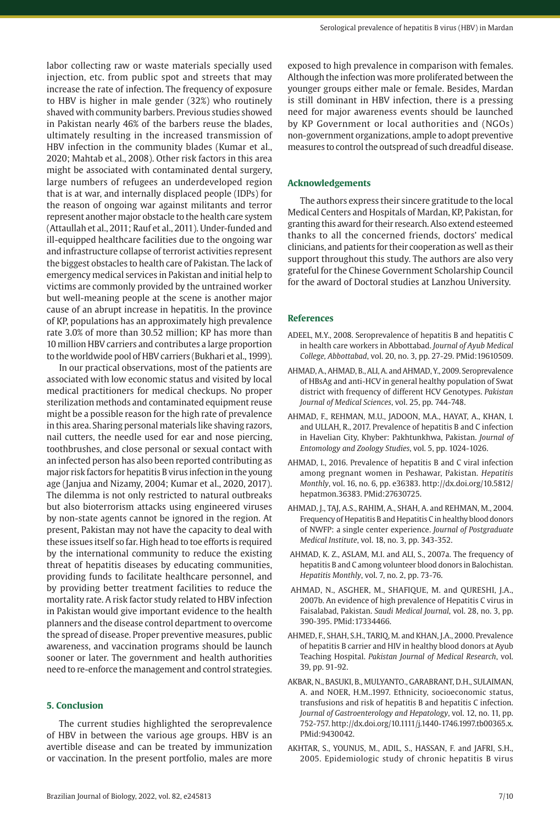labor collecting raw or waste materials specially used injection, etc. from public spot and streets that may increase the rate of infection. The frequency of exposure to HBV is higher in male gender (32%) who routinely shaved with community barbers. Previous studies showed in Pakistan nearly 46% of the barbers reuse the blades, ultimately resulting in the increased transmission of HBV infection in the community blades (Kumar et al., 2020; Mahtab et al., 2008). Other risk factors in this area might be associated with contaminated dental surgery, large numbers of refugees an underdeveloped region that is at war, and internally displaced people (IDPs) for the reason of ongoing war against militants and terror represent another major obstacle to the health care system (Attaullah et al., 2011; Rauf et al., 2011). Under-funded and ill-equipped healthcare facilities due to the ongoing war and infrastructure collapse of terrorist activities represent the biggest obstacles to health care of Pakistan. The lack of emergency medical services in Pakistan and initial help to victims are commonly provided by the untrained worker but well-meaning people at the scene is another major cause of an abrupt increase in hepatitis. In the province of KP, populations has an approximately high prevalence rate 3.0% of more than 30.52 million; KP has more than 10 million HBV carriers and contributes a large proportion to the worldwide pool of HBV carriers (Bukhari et al., 1999).

In our practical observations, most of the patients are associated with low economic status and visited by local medical practitioners for medical checkups. No proper sterilization methods and contaminated equipment reuse might be a possible reason for the high rate of prevalence in this area. Sharing personal materials like shaving razors, nail cutters, the needle used for ear and nose piercing, toothbrushes, and close personal or sexual contact with an infected person has also been reported contributing as major risk factors for hepatitis B virus infection in the young age (Janjua and Nizamy, 2004; Kumar et al., 2020, 2017). The dilemma is not only restricted to natural outbreaks but also bioterrorism attacks using engineered viruses by non-state agents cannot be ignored in the region. At present, Pakistan may not have the capacity to deal with these issues itself so far. High head to toe efforts is required by the international community to reduce the existing threat of hepatitis diseases by educating communities, providing funds to facilitate healthcare personnel, and by providing better treatment facilities to reduce the mortality rate. A risk factor study related to HBV infection in Pakistan would give important evidence to the health planners and the disease control department to overcome the spread of disease. Proper preventive measures, public awareness, and vaccination programs should be launch sooner or later. The government and health authorities need to re-enforce the management and control strategies.

## **5. Conclusion**

The current studies highlighted the seroprevalence of HBV in between the various age groups. HBV is an avertible disease and can be treated by immunization or vaccination. In the present portfolio, males are more exposed to high prevalence in comparison with females. Although the infection was more proliferated between the younger groups either male or female. Besides, Mardan is still dominant in HBV infection, there is a pressing need for major awareness events should be launched by KP Government or local authorities and (NGOs) non-government organizations, ample to adopt preventive measures to control the outspread of such dreadful disease.

#### **Acknowledgements**

The authors express their sincere gratitude to the local Medical Centers and Hospitals of Mardan, KP, Pakistan, for granting this award for their research. Also extend esteemed thanks to all the concerned friends, doctors' medical clinicians, and patients for their cooperation as well as their support throughout this study. The authors are also very grateful for the Chinese Government Scholarship Council for the award of Doctoral studies at Lanzhou University.

#### **References**

- ADEEL, M.Y., 2008. Seroprevalence of hepatitis B and hepatitis C in health care workers in Abbottabad. *Journal of Ayub Medical College, Abbottabad*, vol. 20, no. 3, pp. 27-29. [PMid:19610509.](https://www.ncbi.nlm.nih.gov/entrez/query.fcgi?cmd=Retrieve&db=PubMed&list_uids=19610509&dopt=Abstract)
- AHMAD, A., AHMAD, B., ALI, A. and AHMAD, Y., 2009. Seroprevalence of HBsAg and anti-HCV in general healthy population of Swat district with frequency of different HCV Genotypes. *Pakistan Journal of Medical Sciences*, vol. 25, pp. 744-748.
- AHMAD, F., REHMAN, M.U., JADOON, M.A., HAYAT, A., KHAN, I. and ULLAH, R., 2017. Prevalence of hepatitis B and C infection in Havelian City, Khyber: Pakhtunkhwa, Pakistan. *Journal of Entomology and Zoology Studies*, vol. 5, pp. 1024-1026.
- AHMAD, I., 2016. Prevalence of hepatitis B and C viral infection among pregnant women in Peshawar, Pakistan. *Hepatitis Monthly*, vol. 16, no. 6, pp. e36383. [http://dx.doi.org/10.5812/](https://doi.org/10.5812/hepatmon.36383) [hepatmon.36383](https://doi.org/10.5812/hepatmon.36383)[. PMid:27630725.](https://www.ncbi.nlm.nih.gov/entrez/query.fcgi?cmd=Retrieve&db=PubMed&list_uids=27630725&dopt=Abstract)
- AHMAD, J., TAJ, A.S., RAHIM, A., SHAH, A. and REHMAN, M., 2004. Frequency of Hepatitis B and Hepatitis C in healthy blood donors of NWFP: a single center experience. *Journal of Postgraduate Medical Institute*, vol. 18, no. 3, pp. 343-352.
- AHMAD, K. Z., ASLAM, M.I. and ALI, S., 2007a. The frequency of hepatitis B and C among volunteer blood donors in Balochistan. *Hepatitis Monthly*, vol. 7, no. 2, pp. 73-76.
- AHMAD, N., ASGHER, M., SHAFIQUE, M. and QURESHI, J.A., 2007b. An evidence of high prevalence of Hepatitis C virus in Faisalabad, Pakistan. *Saudi Medical Journal*, vol. 28, no. 3, pp. 390-395[. PMid:17334466.](https://www.ncbi.nlm.nih.gov/entrez/query.fcgi?cmd=Retrieve&db=PubMed&list_uids=17334466&dopt=Abstract)
- AHMED, F., SHAH, S.H., TARIQ, M. and KHAN, J.A., 2000. Prevalence of hepatitis B carrier and HIV in healthy blood donors at Ayub Teaching Hospital. *Pakistan Journal of Medical Research*, vol. 39, pp. 91-92.
- AKBAR, N., BASUKI, B., MULYANTO., GARABRANT, D.H., SULAIMAN, A. and NOER, H.M..1997. Ethnicity, socioeconomic status, transfusions and risk of hepatitis B and hepatitis C infection. *Journal of Gastroenterology and Hepatology*, vol. 12, no. 11, pp. 752-757. [http://dx.doi.org/10.1111/j.1440-1746.1997.tb00365.x](https://doi.org/10.1111/j.1440-1746.1997.tb00365.x). [PMid:9430042.](https://www.ncbi.nlm.nih.gov/entrez/query.fcgi?cmd=Retrieve&db=PubMed&list_uids=9430042&dopt=Abstract)
- AKHTAR, S., YOUNUS, M., ADIL, S., HASSAN, F. and JAFRI, S.H., 2005. Epidemiologic study of chronic hepatitis B virus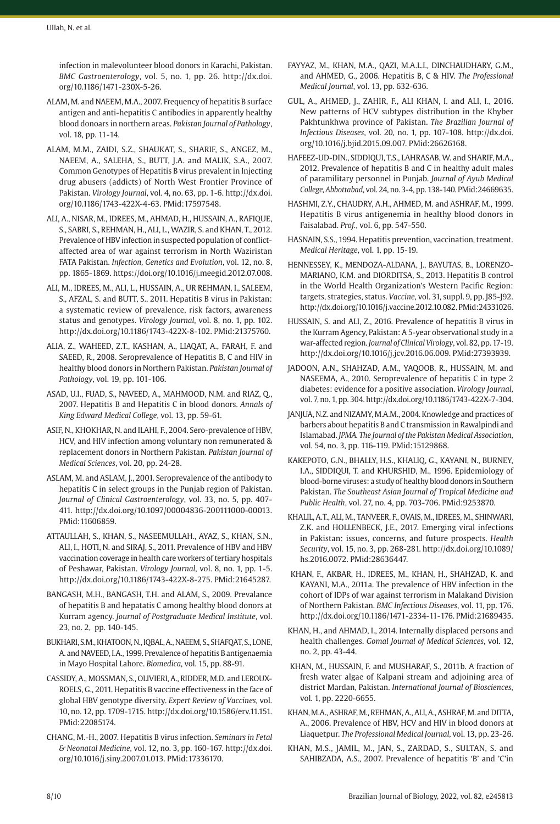infection in malevolunteer blood donors in Karachi, Pakistan. *BMC Gastroenterology*, vol. 5, no. 1, pp. 26. [http://dx.doi.](https://doi.org/10.1186/1471-230X-5-26) [org/10.1186/1471-230X-5-26](https://doi.org/10.1186/1471-230X-5-26).

- ALAM, M. and NAEEM, M.A., 2007. Frequency of hepatitis B surface antigen and anti-hepatitis C antibodies in apparently healthy blood donoars in northern areas. *Pakistan Journal of Pathology*, vol. 18, pp. 11-14.
- ALAM, M.M., ZAIDI, S.Z., SHAUKAT, S., SHARIF, S., ANGEZ, M., NAEEM, A., SALEHA, S., BUTT, J.A. and MALIK, S.A., 2007. Common Genotypes of Hepatitis B virus prevalent in Injecting drug abusers (addicts) of North West Frontier Province of Pakistan. *Virology Journal*, vol. 4, no. 63, pp. 1-6. [http://dx.doi.](https://doi.org/10.1186/1743-422X-4-63) [org/10.1186/1743-422X-4-63](https://doi.org/10.1186/1743-422X-4-63)[. PMid:17597548.](https://www.ncbi.nlm.nih.gov/entrez/query.fcgi?cmd=Retrieve&db=PubMed&list_uids=17597548&dopt=Abstract)
- ALI, A., NISAR, M., IDREES, M., AHMAD, H., HUSSAIN, A., RAFIQUE, S., SABRI, S., REHMAN, H., ALI, L., WAZIR, S. and KHAN, T., 2012. Prevalence of HBV infection in suspected population of conflictaffected area of war against terrorism in North Waziristan FATA Pakistan. *Infection, Genetics and Evolution*, vol. 12, no. 8, pp. 1865-1869. https://doi.org/10.1016/j.meegid.2012.07.008.
- ALI, M., IDREES, M., ALI, L., HUSSAIN, A., UR REHMAN, I., SALEEM, S., AFZAL, S. and BUTT, S., 2011. Hepatitis B virus in Pakistan: a systematic review of prevalence, risk factors, awareness status and genotypes. *Virology Journal*, vol. 8, no. 1, pp. 102. [http://dx.doi.org/10.1186/1743-422X-8-102.](https://doi.org/10.1186/1743-422X-8-102) [PMid:21375760.](https://www.ncbi.nlm.nih.gov/entrez/query.fcgi?cmd=Retrieve&db=PubMed&list_uids=21375760&dopt=Abstract)
- ALIA, Z., WAHEED, Z.T., KASHAN, A., LIAQAT, A., FARAH, F. and SAEED, R., 2008. Seroprevalence of Hepatitis B, C and HIV in healthy blood donors in Northern Pakistan. *Pakistan Journal of Pathology*, vol. 19, pp. 101-106.
- ASAD, U.I., FUAD, S., NAVEED, A., MAHMOOD, N.M. and RIAZ, Q., 2007. Hepatitis B and Hepatitis C in blood donors. *Annals of King Edward Medical College*, vol. 13, pp. 59-61.
- ASIF, N., KHOKHAR, N. and ILAHI, F., 2004. Sero-prevalence of HBV, HCV, and HIV infection among voluntary non remunerated & replacement donors in Northern Pakistan. *Pakistan Journal of Medical Sciences*, vol. 20, pp. 24-28.
- ASLAM, M. and ASLAM, J., 2001. Seroprevalence of the antibody to hepatitis C in select groups in the Punjab region of Pakistan. *Journal of Clinical Gastroenterology*, vol. 33, no. 5, pp. 407- 411. [http://dx.doi.org/10.1097/00004836-200111000-00013](https://doi.org/10.1097/00004836-200111000-00013). [PMid:11606859.](https://www.ncbi.nlm.nih.gov/entrez/query.fcgi?cmd=Retrieve&db=PubMed&list_uids=11606859&dopt=Abstract)
- ATTAULLAH, S., KHAN, S., NASEEMULLAH., AYAZ, S., KHAN, S.N., ALI, I., HOTI, N. and SIRAJ, S., 2011. Prevalence of HBV and HBV vaccination coverage in health care workers of tertiary hospitals of Peshawar, Pakistan. *Virology Journal*, vol. 8, no. 1, pp. 1-5. [http://dx.doi.org/10.1186/1743-422X-8-275](https://doi.org/10.1186/1743-422X-8-275)[. PMid:21645287.](https://www.ncbi.nlm.nih.gov/entrez/query.fcgi?cmd=Retrieve&db=PubMed&list_uids=21645287&dopt=Abstract)
- BANGASH, M.H., BANGASH, T.H. and ALAM, S., 2009. Prevalance of hepatitis B and hepatatis C among healthy blood donors at Kurram agency. *Journal of Postgraduate Medical Institute*, vol. 23, no. 2, pp. 140-145.
- BUKHARI, S.M., KHATOON, N., IQBAL, A., NAEEM, S., SHAFQAT, S., LONE, A. and NAVEED, I.A., 1999. Prevalence of hepatitis B antigenaemia in Mayo Hospital Lahore. *Biomedica*, vol. 15, pp. 88-91.
- CASSIDY, A., MOSSMAN, S., OLIVIERI, A., RIDDER, M.D. and LEROUX-ROELS, G., 2011. Hepatitis B vaccine effectiveness in the face of global HBV genotype diversity. *Expert Review of Vaccines*, vol. 10, no. 12, pp. 1709-1715. [http://dx.doi.org/10.1586/erv.11.151](https://doi.org/10.1586/erv.11.151). [PMid:22085174.](https://www.ncbi.nlm.nih.gov/entrez/query.fcgi?cmd=Retrieve&db=PubMed&list_uids=22085174&dopt=Abstract)
- CHANG, M.-H., 2007. Hepatitis B virus infection. *Seminars in Fetal & Neonatal Medicine*, vol. 12, no. 3, pp. 160-167. [http://dx.doi.](https://doi.org/10.1016/j.siny.2007.01.013) [org/10.1016/j.siny.2007.01.013.](https://doi.org/10.1016/j.siny.2007.01.013) [PMid:17336170.](https://www.ncbi.nlm.nih.gov/entrez/query.fcgi?cmd=Retrieve&db=PubMed&list_uids=17336170&dopt=Abstract)
- FAYYAZ, M., KHAN, M.A., QAZI, M.A.L.I., DINCHAUDHARY, G.M., and AHMED, G., 2006. Hepatitis B, C & HIV. *The Professional Medical Journal*, vol. 13, pp. 632-636.
- GUL, A., AHMED, J., ZAHIR, F., ALI KHAN, I. and ALI, I., 2016. New patterns of HCV subtypes distribution in the Khyber Pakhtunkhwa province of Pakistan. *The Brazilian Journal of Infectious Diseases*, vol. 20, no. 1, pp. 107-108. [http://dx.doi.](https://doi.org/10.1016/j.bjid.2015.09.007) [org/10.1016/j.bjid.2015.09.007](https://doi.org/10.1016/j.bjid.2015.09.007). [PMid:26626168.](https://www.ncbi.nlm.nih.gov/entrez/query.fcgi?cmd=Retrieve&db=PubMed&list_uids=26626168&dopt=Abstract)
- HAFEEZ-UD-DIN., SIDDIQUI, T.S., LAHRASAB, W. and SHARIF, M.A., 2012. Prevalence of hepatitis B and C in healthy adult males of paramilitary personnel in Punjab. *Journal of Ayub Medical College, Abbottabad*, vol. 24, no. 3-4, pp. 138-140[. PMid:24669635.](https://www.ncbi.nlm.nih.gov/entrez/query.fcgi?cmd=Retrieve&db=PubMed&list_uids=24669635&dopt=Abstract)
- HASHMI, Z.Y., CHAUDRY, A.H., AHMED, M. and ASHRAF, M., 1999. Hepatitis B virus antigenemia in healthy blood donors in Faisalabad. *Prof.*, vol. 6, pp. 547-550.
- HASNAIN, S.S., 1994. Hepatitis prevention, vaccination, treatment. *Medical Heritage*, vol. 1, pp. 15-19.
- HENNESSEY, K., MENDOZA-ALDANA, J., BAYUTAS, B., LORENZO-MARIANO, K.M. and DIORDITSA, S., 2013. Hepatitis B control in the World Health Organization's Western Pacific Region: targets, strategies, status. *Vaccine*, vol. 31, suppl. 9, pp. J85-J92. [http://dx.doi.org/10.1016/j.vaccine.2012.10.082](https://doi.org/10.1016/j.vaccine.2012.10.082). [PMid:24331026.](https://www.ncbi.nlm.nih.gov/entrez/query.fcgi?cmd=Retrieve&db=PubMed&list_uids=24331026&dopt=Abstract)
- HUSSAIN, S. and ALI, Z., 2016. Prevalence of hepatitis B virus in the Kurram Agency, Pakistan: A 5-year observational study in a war-affected region. *Journal of Clinical Virology*, vol. 82, pp. 17-19. [http://dx.doi.org/10.1016/j.jcv.2016.06.009](https://doi.org/10.1016/j.jcv.2016.06.009). [PMid:27393939.](https://www.ncbi.nlm.nih.gov/entrez/query.fcgi?cmd=Retrieve&db=PubMed&list_uids=27393939&dopt=Abstract)
- JADOON, A.N., SHAHZAD, A.M., YAQOOB, R., HUSSAIN, M. and NASEEMA, A., 2010. Seroprevalence of hepatitis C in type 2 diabetes: evidence for a positive association. *Virology Journal*, vol. 7, no. 1, pp. 304. [http://dx.doi.org/10.1186/1743-422X-7-304](https://doi.org/10.1186/1743-422X-7-304).
- JANJUA, N.Z. and NIZAMY, M.A.M., 2004. Knowledge and practices of barbers about hepatitis B and C transmission in Rawalpindi and Islamabad. *JPMA. The Journal of the Pakistan Medical Association*, vol. 54, no. 3, pp. 116-119[. PMid:15129868.](https://www.ncbi.nlm.nih.gov/entrez/query.fcgi?cmd=Retrieve&db=PubMed&list_uids=15129868&dopt=Abstract)
- KAKEPOTO, G.N., BHALLY, H.S., KHALIQ, G., KAYANI, N., BURNEY, I.A., SIDDIQUI, T. and KHURSHID, M., 1996. Epidemiology of blood-borne viruses: a study of healthy blood donors in Southern Pakistan. *The Southeast Asian Journal of Tropical Medicine and Public Health*, vol. 27, no. 4, pp. 703-706[. PMid:9253870.](https://www.ncbi.nlm.nih.gov/entrez/query.fcgi?cmd=Retrieve&db=PubMed&list_uids=9253870&dopt=Abstract)
- KHALIL, A.T., ALI, M., TANVEER, F., OVAIS, M., IDREES, M., SHINWARI, Z.K. and HOLLENBECK, J.E., 2017. Emerging viral infections in Pakistan: issues, concerns, and future prospects. *Health Security*, vol. 15, no. 3, pp. 268-281. [http://dx.doi.org/10.1089/](https://doi.org/10.1089/hs.2016.0072) [hs.2016.0072](https://doi.org/10.1089/hs.2016.0072)[. PMid:28636447.](https://www.ncbi.nlm.nih.gov/entrez/query.fcgi?cmd=Retrieve&db=PubMed&list_uids=28636447&dopt=Abstract)
- KHAN, F., AKBAR, H., IDREES, M., KHAN, H., SHAHZAD, K. and KAYANI, M.A., 2011a. The prevalence of HBV infection in the cohort of IDPs of war against terrorism in Malakand Division of Northern Pakistan. *BMC Infectious Diseases*, vol. 11, pp. 176. [http://dx.doi.org/10.1186/1471-2334-11-176.](https://doi.org/10.1186/1471-2334-11-176) [PMid:21689435.](https://www.ncbi.nlm.nih.gov/entrez/query.fcgi?cmd=Retrieve&db=PubMed&list_uids=21689435&dopt=Abstract)
- KHAN, H., and AHMAD, I., 2014. Internally displaced persons and health challenges. *Gomal Journal of Medical Sciences*, vol. 12, no. 2, pp. 43-44.
- KHAN, M., HUSSAIN, F. and MUSHARAF, S., 2011b. A fraction of fresh water algae of Kalpani stream and adjoining area of district Mardan, Pakistan. *International Journal of Biosciences*, vol. 1, pp. 2220-6655.
- KHAN, M.A., ASHRAF, M., REHMAN, A., ALI, A., ASHRAF, M. and DITTA, A., 2006. Prevalence of HBV, HCV and HIV in blood donors at Liaquetpur. *The Professional Medical Journal*, vol. 13, pp. 23-26.
- KHAN, M.S., JAMIL, M., JAN, S., ZARDAD, S., SULTAN, S. and SAHIBZADA, A.S., 2007. Prevalence of hepatitis 'B' and 'C'in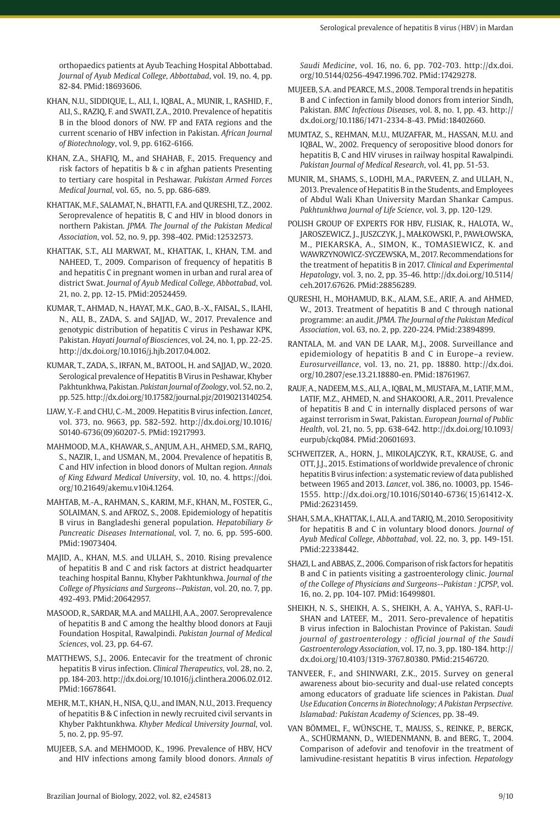orthopaedics patients at Ayub Teaching Hospital Abbottabad. *Journal of Ayub Medical College, Abbottabad*, vol. 19, no. 4, pp. 82-84. [PMid:18693606.](https://www.ncbi.nlm.nih.gov/entrez/query.fcgi?cmd=Retrieve&db=PubMed&list_uids=18693606&dopt=Abstract)

- KHAN, N.U., SIDDIQUE, L., ALI, I., IQBAL, A., MUNIR, I., RASHID, F., ALI, S., RAZIQ, F. and SWATI, Z.A., 2010. Prevalence of hepatitis B in the blood donors of NW. FP and FATA regions and the current scenario of HBV infection in Pakistan. *African Journal of Biotechnology*, vol. 9, pp. 6162-6166.
- KHAN, Z.A., SHAFIQ, M., and SHAHAB, F., 2015. Frequency and risk factors of hepatitis b & c in afghan patients Presenting to tertiary care hospital in Peshawar. *Pakistan Armed Forces Medical Journal*, vol. 65, no. 5, pp. 686-689.
- KHATTAK, M.F., SALAMAT, N., BHATTI, F.A. and QURESHI, T.Z., 2002. Seroprevalence of hepatitis B, C and HIV in blood donors in northern Pakistan. *JPMA. The Journal of the Pakistan Medical Association*, vol. 52, no. 9, pp. 398-402[. PMid:12532573.](https://www.ncbi.nlm.nih.gov/entrez/query.fcgi?cmd=Retrieve&db=PubMed&list_uids=12532573&dopt=Abstract)
- KHATTAK, S.T., ALI MARWAT, M., KHATTAK, I., KHAN, T.M. and NAHEED, T., 2009. Comparison of frequency of hepatitis B and hepatitis C in pregnant women in urban and rural area of district Swat. *Journal of Ayub Medical College, Abbottabad*, vol. 21, no. 2, pp. 12-15[. PMid:20524459.](https://www.ncbi.nlm.nih.gov/entrez/query.fcgi?cmd=Retrieve&db=PubMed&list_uids=20524459&dopt=Abstract)
- KUMAR, T., AHMAD, N., HAYAT, M.K., GAO, B.-X., FAISAL, S., ILAHI, N., ALI, B., ZADA, S. and SAJJAD, W., 2017. Prevalence and genotypic distribution of hepatitis C virus in Peshawar KPK, Pakistan. *Hayati Journal of Biosciences*, vol. 24, no. 1, pp. 22-25. [http://dx.doi.org/10.1016/j.hjb.2017.04.002](https://doi.org/10.1016/j.hjb.2017.04.002).
- KUMAR, T., ZADA, S., IRFAN, M., BATOOL, H. and SAJJAD, W., 2020. Serological prevalence of Hepatitis B Virus in Peshawar, Khyber Pakhtunkhwa, Pakistan. *Pakistan Journal of Zoology*, vol. 52, no. 2, pp. 525. [http://dx.doi.org/10.17582/journal.pjz/20190213140254](https://doi.org/10.17582/journal.pjz/20190213140254).
- LIAW, Y.-F. and CHU, C.-M., 2009. Hepatitis B virus infection. *Lancet*, vol. 373, no. 9663, pp. 582-592. [http://dx.doi.org/10.1016/](https://doi.org/10.1016/S0140-6736(09)60207-5) [S0140-6736\(09\)60207-5](https://doi.org/10.1016/S0140-6736(09)60207-5). [PMid:19217993.](https://www.ncbi.nlm.nih.gov/entrez/query.fcgi?cmd=Retrieve&db=PubMed&list_uids=19217993&dopt=Abstract)
- MAHMOOD, M.A., KHAWAR, S., ANJUM, A.H., AHMED, S.M., RAFIQ, S., NAZIR, I., and USMAN, M., 2004. Prevalence of hepatitis B, C and HIV infection in blood donors of Multan region. *Annals of King Edward Medical University*, vol. 10, no. 4. https://doi. org/10.21649/akemu.v10i4.1264.
- MAHTAB, M.-A., RAHMAN, S., KARIM, M.F., KHAN, M., FOSTER, G., SOLAIMAN, S. and AFROZ, S., 2008. Epidemiology of hepatitis B virus in Bangladeshi general population. *Hepatobiliary & Pancreatic Diseases International*, vol. 7, no. 6, pp. 595-600. [PMid:19073404.](https://www.ncbi.nlm.nih.gov/entrez/query.fcgi?cmd=Retrieve&db=PubMed&list_uids=19073404&dopt=Abstract)
- MAJID, A., KHAN, M.S. and ULLAH, S., 2010. Rising prevalence of hepatitis B and C and risk factors at district headquarter teaching hospital Bannu, Khyber Pakhtunkhwa. *Journal of the College of Physicians and Surgeons--Pakistan*, vol. 20, no. 7, pp. 492-493. [PMid:20642957.](https://www.ncbi.nlm.nih.gov/entrez/query.fcgi?cmd=Retrieve&db=PubMed&list_uids=20642957&dopt=Abstract)
- MASOOD, R., SARDAR, M.A. and MALLHI, A.A., 2007. Seroprevalence of hepatitis B and C among the healthy blood donors at Fauji Foundation Hospital, Rawalpindi. *Pakistan Journal of Medical Sciences*, vol. 23, pp. 64-67.
- MATTHEWS, S.J., 2006. Entecavir for the treatment of chronic hepatitis B virus infection. *Clinical Therapeutics*, vol. 28, no. 2, pp. 184-203. [http://dx.doi.org/10.1016/j.clinthera.2006.02.012](https://doi.org/10.1016/j.clinthera.2006.02.012). [PMid:16678641.](https://www.ncbi.nlm.nih.gov/entrez/query.fcgi?cmd=Retrieve&db=PubMed&list_uids=16678641&dopt=Abstract)
- MEHR, M.T., KHAN, H., NISA, Q.U., and IMAN, N.U., 2013. Frequency of hepatitis B & C infection in newly recruited civil servants in Khyber Pakhtunkhwa. *Khyber Medical University Journal*, vol. 5, no. 2, pp. 95-97.
- MUJEEB, S.A. and MEHMOOD, K., 1996. Prevalence of HBV, HCV and HIV infections among family blood donors. *Annals of*

*Saudi Medicine*, vol. 16, no. 6, pp. 702-703. [http://dx.doi.](https://doi.org/10.5144/0256-4947.1996.702) [org/10.5144/0256-4947.1996.702](https://doi.org/10.5144/0256-4947.1996.702)[. PMid:17429278.](https://www.ncbi.nlm.nih.gov/entrez/query.fcgi?cmd=Retrieve&db=PubMed&list_uids=17429278&dopt=Abstract)

- MUJEEB, S.A. and PEARCE, M.S., 2008. Temporal trends in hepatitis B and C infection in family blood donors from interior Sindh, Pakistan. *BMC Infectious Diseases*, vol. 8, no. 1, pp. 43. [http://](https://doi.org/10.1186/1471-2334-8-43) [dx.doi.org/10.1186/1471-2334-8-43](https://doi.org/10.1186/1471-2334-8-43). [PMid:18402660.](https://www.ncbi.nlm.nih.gov/entrez/query.fcgi?cmd=Retrieve&db=PubMed&list_uids=18402660&dopt=Abstract)
- MUMTAZ, S., REHMAN, M.U., MUZAFFAR, M., HASSAN, M.U. and IQBAL, W., 2002. Frequency of seropositive blood donors for hepatitis B, C and HIV viruses in railway hospital Rawalpindi. *Pakistan Journal of Medical Research*, vol. 41, pp. 51-53.
- MUNIR, M., SHAMS, S., LODHI, M.A., PARVEEN, Z. and ULLAH, N., 2013. Prevalence of Hepatitis B in the Students, and Employees of Abdul Wali Khan University Mardan Shankar Campus. *Pakhtunkhwa Journal of Life Science*, vol. 3, pp. 120-129.
- POLISH GROUP OF EXPERTS FOR HBV, FLISIAK, R., HALOTA, W., JAROSZEWICZ, J., JUSZCZYK, J., MAŁKOWSKI, P., PAWŁOWSKA, M., PIEKARSKA, A., SIMON, K., TOMASIEWICZ, K. and WAWRZYNOWICZ-SYCZEWSKA, M., 2017. Recommendations for the treatment of hepatitis B in 2017. *Clinical and Experimental Hepatology*, vol. 3, no. 2, pp. 35-46. [http://dx.doi.org/10.5114/](https://doi.org/10.5114/ceh.2017.67626) [ceh.2017.67626.](https://doi.org/10.5114/ceh.2017.67626) [PMid:28856289.](https://www.ncbi.nlm.nih.gov/entrez/query.fcgi?cmd=Retrieve&db=PubMed&list_uids=28856289&dopt=Abstract)
- QURESHI, H., MOHAMUD, B.K., ALAM, S.E., ARIF, A. and AHMED, W., 2013. Treatment of hepatitis B and C through national programme: an audit. *JPMA. The Journal of the Pakistan Medical Association*, vol. 63, no. 2, pp. 220-224. [PMid:23894899.](https://www.ncbi.nlm.nih.gov/entrez/query.fcgi?cmd=Retrieve&db=PubMed&list_uids=23894899&dopt=Abstract)
- RANTALA, M. and VAN DE LAAR, M.J., 2008. Surveillance and epidemiology of hepatitis B and C in Europe–a review. *Eurosurveillance*, vol. 13, no. 21, pp. 18880. [http://dx.doi.](https://doi.org/10.2807/ese.13.21.18880-en) [org/10.2807/ese.13.21.18880-en](https://doi.org/10.2807/ese.13.21.18880-en). [PMid:18761967.](https://www.ncbi.nlm.nih.gov/entrez/query.fcgi?cmd=Retrieve&db=PubMed&list_uids=18761967&dopt=Abstract)
- RAUF, A., NADEEM, M.S., ALI, A., IQBAL, M., MUSTAFA, M., LATIF, M.M., LATIF, M.Z., AHMED, N. and SHAKOORI, A.R., 2011. Prevalence of hepatitis B and C in internally displaced persons of war against terrorism in Swat, Pakistan. *European Journal of Public Health*, vol. 21, no. 5, pp. 638-642. [http://dx.doi.org/10.1093/](https://doi.org/10.1093/eurpub/ckq084) [eurpub/ckq084.](https://doi.org/10.1093/eurpub/ckq084) [PMid:20601693.](https://www.ncbi.nlm.nih.gov/entrez/query.fcgi?cmd=Retrieve&db=PubMed&list_uids=20601693&dopt=Abstract)
- SCHWEITZER, A., HORN, I., MIKOLAICZYK, R.T., KRAUSE, G. and OTT, J.J., 2015. Estimations of worldwide prevalence of chronic hepatitis B virus infection: a systematic review of data published between 1965 and 2013. *Lancet*, vol. 386, no. 10003, pp. 1546- 1555. [http://dx.doi.org/10.1016/S0140-6736\(15\)61412-X](https://doi.org/10.1016/S0140-6736(15)61412-X). [PMid:26231459.](https://www.ncbi.nlm.nih.gov/entrez/query.fcgi?cmd=Retrieve&db=PubMed&list_uids=26231459&dopt=Abstract)
- SHAH, S.M.A., KHATTAK, I., ALI, A. and TARIQ, M., 2010. Seropositivity for hepatitis B and C in voluntary blood donors. *Journal of Ayub Medical College, Abbottabad*, vol. 22, no. 3, pp. 149-151. [PMid:22338442.](https://www.ncbi.nlm.nih.gov/entrez/query.fcgi?cmd=Retrieve&db=PubMed&list_uids=22338442&dopt=Abstract)
- SHAZI, L. and ABBAS, Z., 2006. Comparison of risk factors for hepatitis B and C in patients visiting a gastroenterology clinic. *Journal of the College of Physicians and Surgeons--Pakistan : JCPSP*, vol. 16, no. 2, pp. 104-107. [PMid:16499801.](https://www.ncbi.nlm.nih.gov/entrez/query.fcgi?cmd=Retrieve&db=PubMed&list_uids=16499801&dopt=Abstract)
- SHEIKH, N. S., SHEIKH, A. S., SHEIKH, A. A., YAHYA, S., RAFI-U-SHAN and LATEEF, M., 2011. Sero-prevalence of hepatitis B virus infection in Balochistan Province of Pakistan. *Saudi journal of gastroenterology : official journal of the Saudi Gastroenterology Association*, vol. 17, no. 3, pp. 180-184. [http://](https://doi.org/10.4103/1319-3767.80380) [dx.doi.org/10.4103/1319-3767.80380](https://doi.org/10.4103/1319-3767.80380)[. PMid:21546720.](https://www.ncbi.nlm.nih.gov/entrez/query.fcgi?cmd=Retrieve&db=PubMed&list_uids=21546720&dopt=Abstract)
- TANVEER, F., and SHINWARI, Z.K., 2015. Survey on general awareness about bio-security and dual-use related concepts among educators of graduate life sciences in Pakistan. *Dual Use Education Concerns in Biotechnology; A Pakistan Perpsective. Islamabad: Pakistan Academy of Sciences*, pp. 38-49.
- VAN BÖMMEL, F., WÜNSCHE, T., MAUSS, S., REINKE, P., BERGK, A., SCHÜRMANN, D., WIEDENMANN, B. and BERG, T., 2004. Comparison of adefovir and tenofovir in the treatment of lamivudine‐resistant hepatitis B virus infection. *Hepatology*